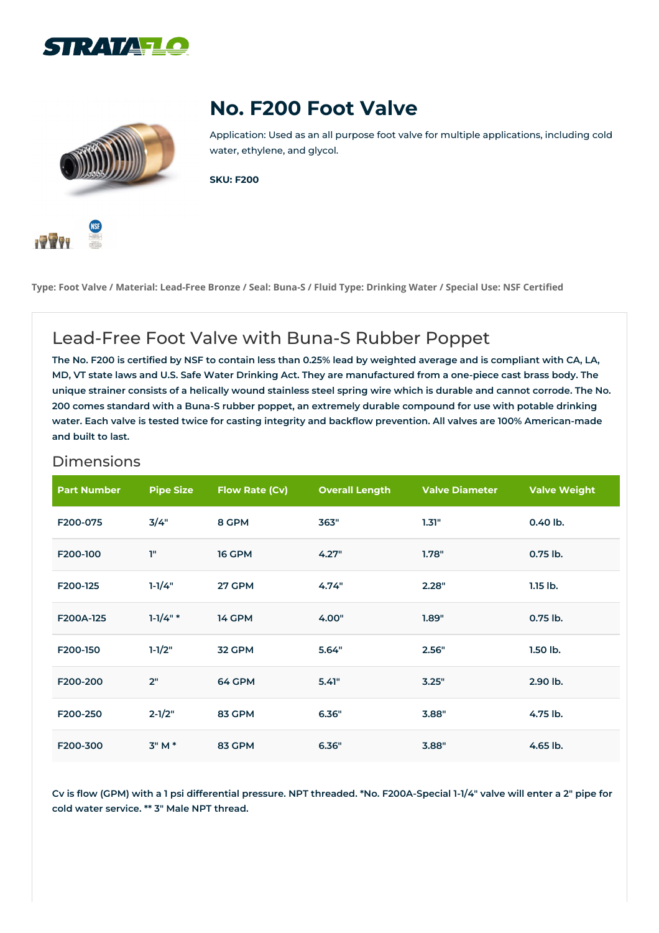





Application: Used as an all purpose foot valve for multiple applications, including cold water, ethylene, and glycol.

**SKU: F200**



Type: Foot Valve / Material: Lead-Free Bronze / Seal: Buna-S / Fluid Type: Drinking Water / Special Use: NSF Certified

## Lead-Free Foot Valve with Buna-S Rubber Poppet

The No. F200 is certified by NSF to contain less than 0.25% lead by weighted average and is compliant with CA, LA, MD, VT state laws and U.S. Safe Water Drinking Act. They are manufactured from a one-piece cast brass body. The unique strainer consists of a helically wound stainless steel spring wire which is durable and cannot corrode. The No. 200 comes standard with a Buna-S rubber poppet, an extremely durable compound for use with potable drinking water. Each valve is tested twice for casting integrity and backflow prevention. All valves are 100% American-made **and built to last.**

| <b>Part Number</b> | <b>Pipe Size</b> | <b>Flow Rate (Cv)</b> | <b>Overall Length</b> | <b>Valve Diameter</b> | <b>Valve Weight</b> |
|--------------------|------------------|-----------------------|-----------------------|-----------------------|---------------------|
| F200-075           | 3/4"             | 8 GPM                 | 363"                  | 1.31"                 | 0.40 lb.            |
| F200-100           | T"               | 16 GPM                | 4.27"                 | 1.78"                 | $0.75$ lb.          |
| F200-125           | $1 - 1/4"$       | 27 GPM                | 4.74"                 | 2.28"                 | $1.15$ lb.          |
| F200A-125          | $1-1/4"$ *       | 14 GPM                | 4.00"                 | 1.89"                 | 0.75 lb.            |
| F200-150           | $1-1/2"$         | 32 GPM                | 5.64"                 | 2.56"                 | $1.50$ lb.          |
| F200-200           | 2"               | 64 GPM                | 5.41"                 | 3.25"                 | 2.90 lb.            |
| F200-250           | $2 - 1/2"$       | 83 GPM                | 6.36"                 | 3.88"                 | 4.75 lb.            |
| F200-300           | $3"M*$           | 83 GPM                | 6.36"                 | 3.88"                 | 4.65 lb.            |

## Dimensions

Cv is flow (GPM) with a 1 psi differential pressure. NPT threaded. \*No. F200A-Special 1-1/4" valve will enter a 2" pipe for **cold water service. \*\* 3" Male NPT thread.**